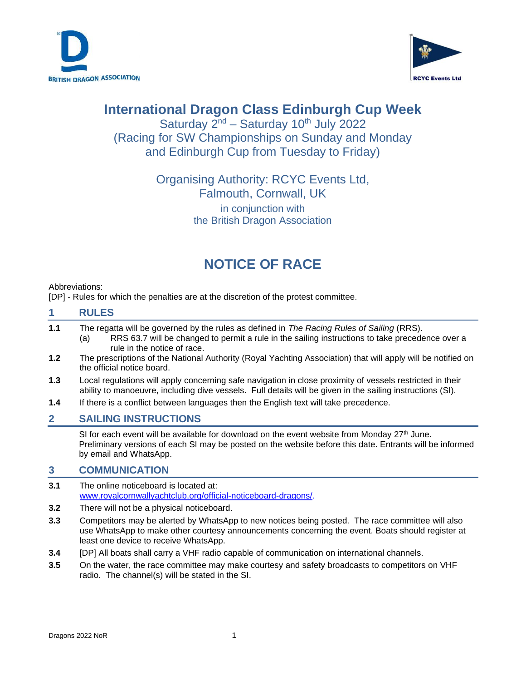



# **International Dragon Class Edinburgh Cup Week**

Saturday  $2^{nd}$  – Saturday 10<sup>th</sup> July 2022 (Racing for SW Championships on Sunday and Monday and Edinburgh Cup from Tuesday to Friday)

# Organising Authority: RCYC Events Ltd, Falmouth, Cornwall, UK in conjunction with

the British Dragon Association

# **NOTICE OF RACE**

Abbreviations:

[DP] - Rules for which the penalties are at the discretion of the protest committee.

#### **1 RULES**

- **1.1** The regatta will be governed by the rules as defined in *The Racing Rules of Sailing* (RRS). (a) RRS 63.7 will be changed to permit a rule in the sailing instructions to take precedence over a rule in the notice of race.
- **1.2** The prescriptions of the National Authority (Royal Yachting Association) that will apply will be notified on the official notice board.
- **1.3** Local regulations will apply concerning safe navigation in close proximity of vessels restricted in their ability to manoeuvre, including dive vessels. Full details will be given in the sailing instructions (SI).
- **1.4** If there is a conflict between languages then the English text will take precedence.

## **2 SAILING INSTRUCTIONS**

SI for each event will be available for download on the event website from Monday  $27<sup>th</sup>$  June. Preliminary versions of each SI may be posted on the website before this date. Entrants will be informed by email and WhatsApp.

## **3 COMMUNICATION**

- **3.1** The online noticeboard is located at: [www.royalcornwallyachtclub.org/official-noticeboard-dragons/.](http://www.royalcornwallyachtclub.org/official-noticeboard-dragons/)
- **3.2** There will not be a physical noticeboard.
- **3.3** Competitors may be alerted by WhatsApp to new notices being posted. The race committee will also use WhatsApp to make other courtesy announcements concerning the event. Boats should register at least one device to receive WhatsApp.
- **3.4** [DP] All boats shall carry a VHF radio capable of communication on international channels.
- **3.5** On the water, the race committee may make courtesy and safety broadcasts to competitors on VHF radio. The channel(s) will be stated in the SI.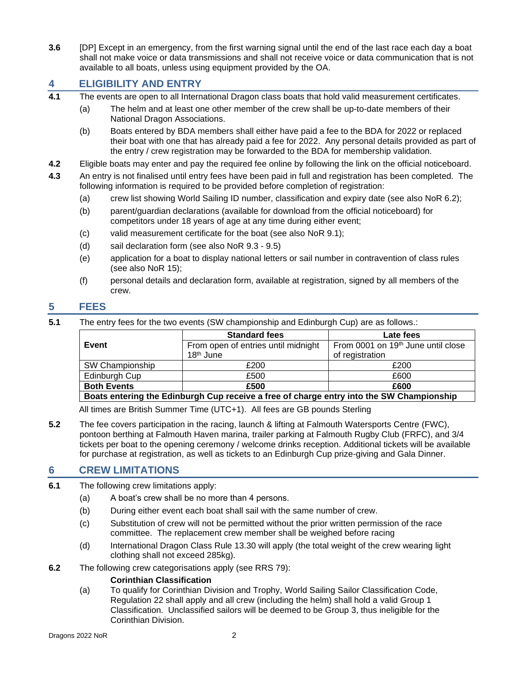**3.6** [DP] Except in an emergency, from the first warning signal until the end of the last race each day a boat shall not make voice or data transmissions and shall not receive voice or data communication that is not available to all boats, unless using equipment provided by the OA.

## **4 ELIGIBILITY AND ENTRY**

- **4.1** The events are open to all International Dragon class boats that hold valid measurement certificates.
	- (a) The helm and at least one other member of the crew shall be up-to-date members of their National Dragon Associations.
	- (b) Boats entered by BDA members shall either have paid a fee to the BDA for 2022 or replaced their boat with one that has already paid a fee for 2022. Any personal details provided as part of the entry / crew registration may be forwarded to the BDA for membership validation.
- **4.2** Eligible boats may enter and pay the required fee online by following the link on the official noticeboard.
- **4.3** An entry is not finalised until entry fees have been paid in full and registration has been completed. The following information is required to be provided before completion of registration:
	- (a) crew list showing World Sailing ID number, classification and expiry date (see also NoR 6.2);
	- (b) parent/guardian declarations (available for download from the official noticeboard) for competitors under 18 years of age at any time during either event;
	- (c) valid measurement certificate for the boat (see also NoR 9.1);
	- (d) sail declaration form (see also NoR 9.3 9.5)
	- (e) application for a boat to display national letters or sail number in contravention of class rules (see also NoR 15);
	- (f) personal details and declaration form, available at registration, signed by all members of the crew.

### **5 FEES**

**5.1** The entry fees for the two events (SW championship and Edinburgh Cup) are as follows.:

|                                                                                          | <b>Standard fees</b>                | Late fees                                      |  |  |
|------------------------------------------------------------------------------------------|-------------------------------------|------------------------------------------------|--|--|
| Event                                                                                    | From open of entries until midnight | From 0001 on 19 <sup>th</sup> June until close |  |  |
|                                                                                          | 18 <sup>th</sup> June               | of registration                                |  |  |
| SW Championship                                                                          | £200                                | £200                                           |  |  |
| Edinburgh Cup                                                                            | £500                                | £600                                           |  |  |
| <b>Both Events</b>                                                                       | £500                                | £600                                           |  |  |
| Boats entering the Edinburgh Cup receive a free of charge entry into the SW Championship |                                     |                                                |  |  |

All times are British Summer Time (UTC+1). All fees are GB pounds Sterling

**5.2** The fee covers participation in the racing, launch & lifting at Falmouth Watersports Centre (FWC), pontoon berthing at Falmouth Haven marina, trailer parking at Falmouth Rugby Club (FRFC), and 3/4 tickets per boat to the opening ceremony / welcome drinks reception. Additional tickets will be available for purchase at registration, as well as tickets to an Edinburgh Cup prize-giving and Gala Dinner.

#### **6 CREW LIMITATIONS**

- **6.1** The following crew limitations apply:
	- (a) A boat's crew shall be no more than 4 persons.
	- (b) During either event each boat shall sail with the same number of crew.
	- (c) Substitution of crew will not be permitted without the prior written permission of the race committee. The replacement crew member shall be weighed before racing
	- (d) International Dragon Class Rule 13.30 will apply (the total weight of the crew wearing light clothing shall not exceed 285kg).
- **6.2** The following crew categorisations apply (see RRS 79):

#### **Corinthian Classification**

(a) To qualify for Corinthian Division and Trophy, World Sailing Sailor Classification Code, Regulation 22 shall apply and all crew (including the helm) shall hold a valid Group 1 Classification. Unclassified sailors will be deemed to be Group 3, thus ineligible for the Corinthian Division.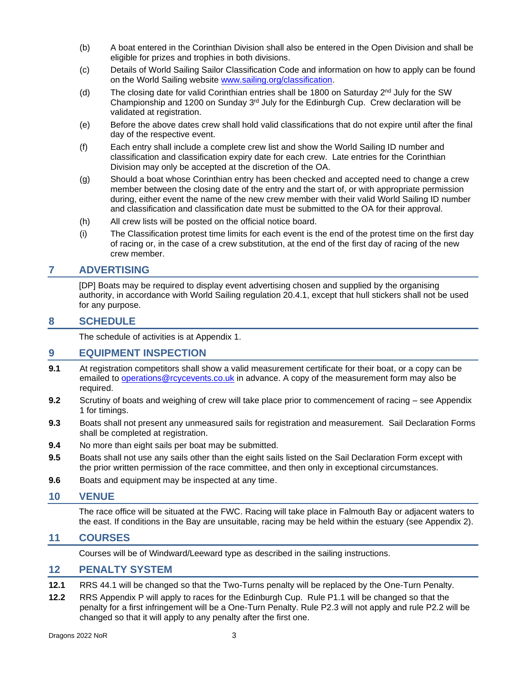- (b) A boat entered in the Corinthian Division shall also be entered in the Open Division and shall be eligible for prizes and trophies in both divisions.
- (c) Details of World Sailing Sailor Classification Code and information on how to apply can be found on the World Sailing website [www.sailing.org/classification.](http://www.sailing.org/classification)
- (d) The closing date for valid Corinthian entries shall be 1800 on Saturday  $2<sup>nd</sup>$  July for the SW Championship and 1200 on Sunday  $3<sup>rd</sup>$  July for the Edinburgh Cup. Crew declaration will be validated at registration.
- (e) Before the above dates crew shall hold valid classifications that do not expire until after the final day of the respective event.
- (f) Each entry shall include a complete crew list and show the World Sailing ID number and classification and classification expiry date for each crew. Late entries for the Corinthian Division may only be accepted at the discretion of the OA.
- (g) Should a boat whose Corinthian entry has been checked and accepted need to change a crew member between the closing date of the entry and the start of, or with appropriate permission during, either event the name of the new crew member with their valid World Sailing ID number and classification and classification date must be submitted to the OA for their approval.
- (h) All crew lists will be posted on the official notice board.
- (i) The Classification protest time limits for each event is the end of the protest time on the first day of racing or, in the case of a crew substitution, at the end of the first day of racing of the new crew member.

### **7 ADVERTISING**

[DP] Boats may be required to display event advertising chosen and supplied by the organising authority, in accordance with World Sailing regulation 20.4.1, except that hull stickers shall not be used for any purpose.

### **8 SCHEDULE**

The schedule of activities is at Appendix 1.

#### **9 EQUIPMENT INSPECTION**

- **9.1** At registration competitors shall show a valid measurement certificate for their boat, or a copy can be emailed to [operations@rcycevents.co.uk](mailto:operations@rcycevents.co.uk) in advance. A copy of the measurement form may also be required.
- **9.2** Scrutiny of boats and weighing of crew will take place prior to commencement of racing see Appendix 1 for timings.
- **9.3** Boats shall not present any unmeasured sails for registration and measurement. Sail Declaration Forms shall be completed at registration.
- **9.4** No more than eight sails per boat may be submitted.
- **9.5** Boats shall not use any sails other than the eight sails listed on the Sail Declaration Form except with the prior written permission of the race committee, and then only in exceptional circumstances.
- **9.6** Boats and equipment may be inspected at any time.

#### **10 VENUE**

The race office will be situated at the FWC. Racing will take place in Falmouth Bay or adjacent waters to the east. If conditions in the Bay are unsuitable, racing may be held within the estuary (see Appendix 2).

#### **11 COURSES**

Courses will be of Windward/Leeward type as described in the sailing instructions.

#### **12 PENALTY SYSTEM**

- **12.1** RRS 44.1 will be changed so that the Two-Turns penalty will be replaced by the One-Turn Penalty.
- **12.2** RRS Appendix P will apply to races for the Edinburgh Cup. Rule P1.1 will be changed so that the penalty for a first infringement will be a One-Turn Penalty. Rule P2.3 will not apply and rule P2.2 will be changed so that it will apply to any penalty after the first one.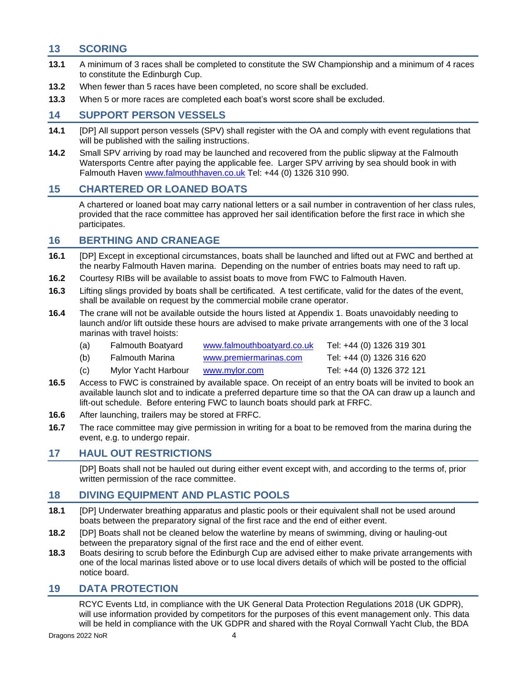## **13 SCORING**

- **13.1** A minimum of 3 races shall be completed to constitute the SW Championship and a minimum of 4 races to constitute the Edinburgh Cup.
- **13.2** When fewer than 5 races have been completed, no score shall be excluded.
- **13.3** When 5 or more races are completed each boat's worst score shall be excluded.

## **14 SUPPORT PERSON VESSELS**

- **14.1** [DP] All support person vessels (SPV) shall register with the OA and comply with event regulations that will be published with the sailing instructions.
- **14.2** Small SPV arriving by road may be launched and recovered from the public slipway at the Falmouth Watersports Centre after paying the applicable fee. Larger SPV arriving by sea should book in with Falmouth Haven [www.falmouthhaven.co.uk](http://www.falmouthhaven.co.uk/) Tel: +44 (0) 1326 310 990.

## **15 CHARTERED OR LOANED BOATS**

A chartered or loaned boat may carry national letters or a sail number in contravention of her class rules, provided that the race committee has approved her sail identification before the first race in which she participates.

## **16 BERTHING AND CRANEAGE**

- **16.1** [DP] Except in exceptional circumstances, boats shall be launched and lifted out at FWC and berthed at the nearby Falmouth Haven marina. Depending on the number of entries boats may need to raft up.
- **16.2** Courtesy RIBs will be available to assist boats to move from FWC to Falmouth Haven.
- **16.3** Lifting slings provided by boats shall be certificated. A test certificate, valid for the dates of the event, shall be available on request by the commercial mobile crane operator.
- **16.4** The crane will not be available outside the hours listed at Appendix 1. Boats unavoidably needing to launch and/or lift outside these hours are advised to make private arrangements with one of the 3 local marinas with travel hoists:
	- (a) Falmouth Boatyard [www.falmouthboatyard.co.uk](http://www.falmouthboatyard.co.uk/) Tel: +44 (0) 1326 319 301
	- (b) Falmouth Marina [www.premiermarinas.com](http://www.premiermarinas.com/) Tel: +44 (0) 1326 316 620
	- (c) Mylor Yacht Harbour [www.mylor.com](http://www.mylor.com/) Tel: +44 (0) 1326 372 121
- **16.5** Access to FWC is constrained by available space. On receipt of an entry boats will be invited to book an available launch slot and to indicate a preferred departure time so that the OA can draw up a launch and lift-out schedule. Before entering FWC to launch boats should park at FRFC.
- **16.6** After launching, trailers may be stored at FRFC.
- **16.7** The race committee may give permission in writing for a boat to be removed from the marina during the event, e.g. to undergo repair.

## **17 HAUL OUT RESTRICTIONS**

[DP] Boats shall not be hauled out during either event except with, and according to the terms of, prior written permission of the race committee.

## **18 DIVING EQUIPMENT AND PLASTIC POOLS**

- **18.1** [DP] Underwater breathing apparatus and plastic pools or their equivalent shall not be used around boats between the preparatory signal of the first race and the end of either event.
- **18.2** [DP] Boats shall not be cleaned below the waterline by means of swimming, diving or hauling-out between the preparatory signal of the first race and the end of either event.
- **18.3** Boats desiring to scrub before the Edinburgh Cup are advised either to make private arrangements with one of the local marinas listed above or to use local divers details of which will be posted to the official notice board.

## **19 DATA PROTECTION**

RCYC Events Ltd, in compliance with the UK General Data Protection Regulations 2018 (UK GDPR), will use information provided by competitors for the purposes of this event management only. This data will be held in compliance with the UK GDPR and shared with the Royal Cornwall Yacht Club, the BDA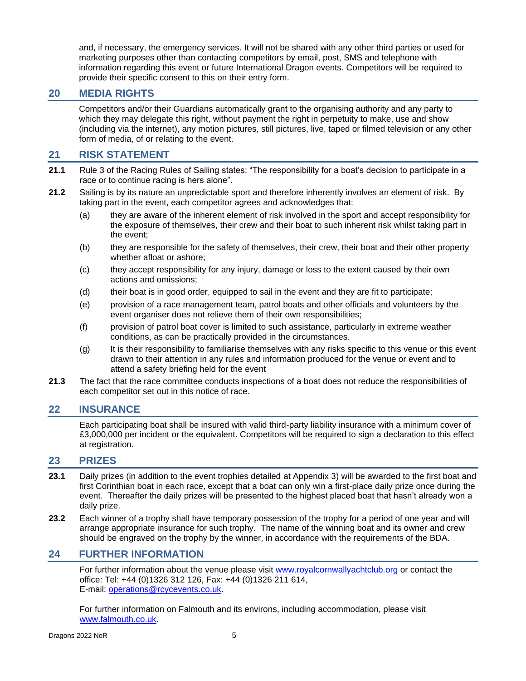and, if necessary, the emergency services. It will not be shared with any other third parties or used for marketing purposes other than contacting competitors by email, post, SMS and telephone with information regarding this event or future International Dragon events. Competitors will be required to provide their specific consent to this on their entry form.

## **20 MEDIA RIGHTS**

Competitors and/or their Guardians automatically grant to the organising authority and any party to which they may delegate this right, without payment the right in perpetuity to make, use and show (including via the internet), any motion pictures, still pictures, live, taped or filmed television or any other form of media, of or relating to the event.

## **21 RISK STATEMENT**

- **21.1** Rule 3 of the Racing Rules of Sailing states: "The responsibility for a boat's decision to participate in a race or to continue racing is hers alone".
- **21.2** Sailing is by its nature an unpredictable sport and therefore inherently involves an element of risk. By taking part in the event, each competitor agrees and acknowledges that:
	- (a) they are aware of the inherent element of risk involved in the sport and accept responsibility for the exposure of themselves, their crew and their boat to such inherent risk whilst taking part in the event;
	- (b) they are responsible for the safety of themselves, their crew, their boat and their other property whether afloat or ashore;
	- (c) they accept responsibility for any injury, damage or loss to the extent caused by their own actions and omissions;
	- (d) their boat is in good order, equipped to sail in the event and they are fit to participate;
	- (e) provision of a race management team, patrol boats and other officials and volunteers by the event organiser does not relieve them of their own responsibilities;
	- (f) provision of patrol boat cover is limited to such assistance, particularly in extreme weather conditions, as can be practically provided in the circumstances.
	- (g) It is their responsibility to familiarise themselves with any risks specific to this venue or this event drawn to their attention in any rules and information produced for the venue or event and to attend a safety briefing held for the event
- **21.3** The fact that the race committee conducts inspections of a boat does not reduce the responsibilities of each competitor set out in this notice of race.

## **22 INSURANCE**

Each participating boat shall be insured with valid third-party liability insurance with a minimum cover of £3,000,000 per incident or the equivalent. Competitors will be required to sign a declaration to this effect at registration.

#### **23 PRIZES**

- **23.1** Daily prizes (in addition to the event trophies detailed at Appendix 3) will be awarded to the first boat and first Corinthian boat in each race, except that a boat can only win a first-place daily prize once during the event. Thereafter the daily prizes will be presented to the highest placed boat that hasn't already won a daily prize.
- **23.2** Each winner of a trophy shall have temporary possession of the trophy for a period of one year and will arrange appropriate insurance for such trophy. The name of the winning boat and its owner and crew should be engraved on the trophy by the winner, in accordance with the requirements of the BDA.

## **24 FURTHER INFORMATION**

For further information about the venue please visit [www.royalcornwallyachtclub.org](http://www.royalcornwallyachtclub.org/) or contact the office: Tel: +44 (0)1326 312 126, Fax: +44 (0)1326 211 614, E-mail: [operations@rcycevents.co.uk.](mailto:operations@rcycevents.co.uk)

For further information on Falmouth and its environs, including accommodation, please visit [www.falmouth.co.uk.](http://www.falmouth.co.uk/)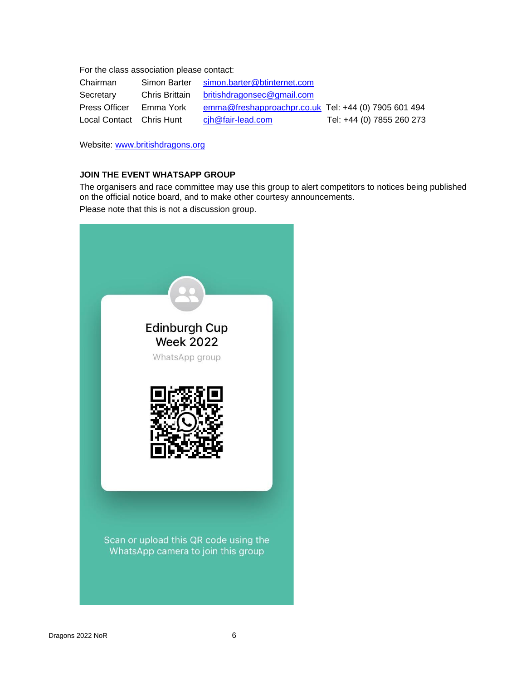For the class association please contact:

| Chairman                 | Simon Barter   | simon.barter@btinternet.com                          |                           |
|--------------------------|----------------|------------------------------------------------------|---------------------------|
| Secretary                | Chris Brittain | britishdragonsec@gmail.com                           |                           |
| <b>Press Officer</b>     | Emma York      | emma@freshapproachpr.co.uk Tel: +44 (0) 7905 601 494 |                           |
| Local Contact Chris Hunt |                | cih@fair-lead.com                                    | Tel: +44 (0) 7855 260 273 |

Website: [www.britishdragons.org](http://www.britishdragons.org/)

#### **JOIN THE EVENT WHATSAPP GROUP**

The organisers and race committee may use this group to alert competitors to notices being published on the official notice board, and to make other courtesy announcements.

Please note that this is not a discussion group.

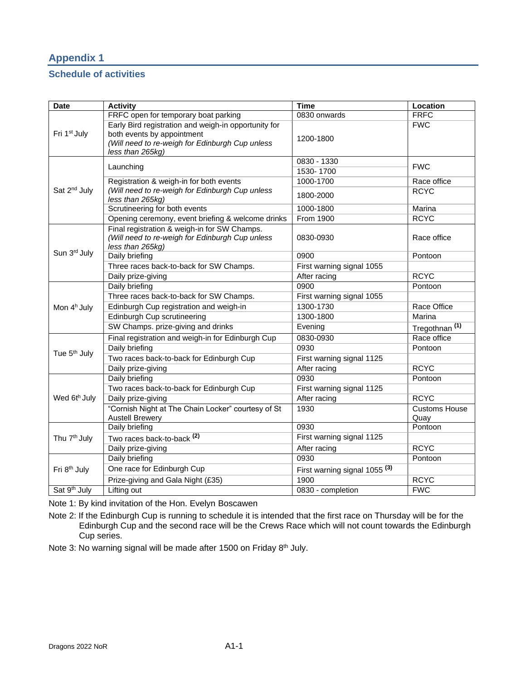# **Appendix 1**

## **Schedule of activities**

| <b>Date</b>              | <b>Activity</b>                                                                                                                                           | Time                                     | Location                  |  |
|--------------------------|-----------------------------------------------------------------------------------------------------------------------------------------------------------|------------------------------------------|---------------------------|--|
|                          | FRFC open for temporary boat parking                                                                                                                      | 0830 onwards                             | <b>FRFC</b>               |  |
| Fri 1 <sup>st</sup> July | Early Bird registration and weigh-in opportunity for<br>both events by appointment<br>(Will need to re-weigh for Edinburgh Cup unless<br>less than 265kg) | 1200-1800                                | <b>FWC</b>                |  |
|                          |                                                                                                                                                           | 0830 - 1330                              |                           |  |
|                          | Launching                                                                                                                                                 | 1530-1700                                | <b>FWC</b>                |  |
|                          | Registration & weigh-in for both events                                                                                                                   | 1000-1700                                | Race office               |  |
| Sat 2 <sup>nd</sup> July | (Will need to re-weigh for Edinburgh Cup unless<br>less than 265kg)                                                                                       | 1800-2000                                | <b>RCYC</b>               |  |
|                          | Scrutineering for both events                                                                                                                             | 1000-1800                                | Marina                    |  |
|                          | Opening ceremony, event briefing & welcome drinks                                                                                                         | <b>From 1900</b>                         | <b>RCYC</b>               |  |
|                          | Final registration & weigh-in for SW Champs.<br>(Will need to re-weigh for Edinburgh Cup unless<br>less than 265kg)                                       | 0830-0930                                | Race office               |  |
| Sun 3rd July             | Daily briefing                                                                                                                                            | 0900                                     | Pontoon                   |  |
|                          | Three races back-to-back for SW Champs.                                                                                                                   | First warning signal 1055                |                           |  |
|                          | Daily prize-giving                                                                                                                                        | After racing                             | <b>RCYC</b>               |  |
|                          | Daily briefing                                                                                                                                            | 0900                                     | Pontoon                   |  |
|                          | Three races back-to-back for SW Champs.                                                                                                                   | First warning signal 1055                |                           |  |
| Mon 4 <sup>h</sup> July  | Edinburgh Cup registration and weigh-in                                                                                                                   | 1300-1730                                | Race Office               |  |
|                          | Edinburgh Cup scrutineering                                                                                                                               | 1300-1800                                | Marina                    |  |
|                          | SW Champs. prize-giving and drinks                                                                                                                        | Evening                                  | Tregothnan <sup>(1)</sup> |  |
|                          | Final registration and weigh-in for Edinburgh Cup                                                                                                         | 0830-0930                                | Race office               |  |
| Tue 5 <sup>th</sup> July | Daily briefing                                                                                                                                            | 0930                                     | Pontoon                   |  |
|                          | Two races back-to-back for Edinburgh Cup                                                                                                                  | First warning signal 1125                |                           |  |
|                          | Daily prize-giving                                                                                                                                        | After racing                             | <b>RCYC</b>               |  |
|                          | Daily briefing                                                                                                                                            | 0930                                     | Pontoon                   |  |
|                          | Two races back-to-back for Edinburgh Cup                                                                                                                  | First warning signal 1125                |                           |  |
| Wed 6th July             | Daily prize-giving                                                                                                                                        | After racing                             | <b>RCYC</b>               |  |
|                          | "Cornish Night at The Chain Locker" courtesy of St                                                                                                        | 1930                                     | Customs House             |  |
|                          | <b>Austell Brewery</b>                                                                                                                                    |                                          | Quay                      |  |
|                          | Daily briefing                                                                                                                                            | 0930                                     | Pontoon                   |  |
| Thu 7 <sup>th</sup> July | Two races back-to-back <sup>(2)</sup>                                                                                                                     | First warning signal 1125                |                           |  |
|                          | Daily prize-giving                                                                                                                                        | After racing                             | <b>RCYC</b>               |  |
|                          | Daily briefing                                                                                                                                            | 0930                                     | Pontoon                   |  |
| Fri 8 <sup>th</sup> July | One race for Edinburgh Cup                                                                                                                                | First warning signal 1055 <sup>(3)</sup> |                           |  |
|                          | Prize-giving and Gala Night (£35)                                                                                                                         | 1900                                     | <b>RCYC</b>               |  |
| Sat 9 <sup>th</sup> July | Lifting out                                                                                                                                               | 0830 - completion                        | <b>FWC</b>                |  |

Note 1: By kind invitation of the Hon. Evelyn Boscawen

Note 2: If the Edinburgh Cup is running to schedule it is intended that the first race on Thursday will be for the Edinburgh Cup and the second race will be the Crews Race which will not count towards the Edinburgh Cup series.

Note 3: No warning signal will be made after 1500 on Friday 8<sup>th</sup> July.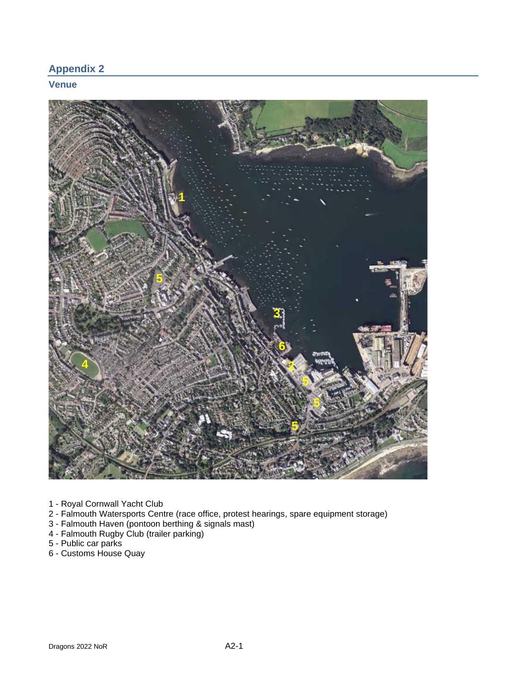## **Appendix 2**

## **Venue**



- 1 Royal Cornwall Yacht Club
- 2 Falmouth Watersports Centre (race office, protest hearings, spare equipment storage)
- 3 Falmouth Haven (pontoon berthing & signals mast)
- 4 Falmouth Rugby Club (trailer parking)
- 5 Public car parks
- 6 Customs House Quay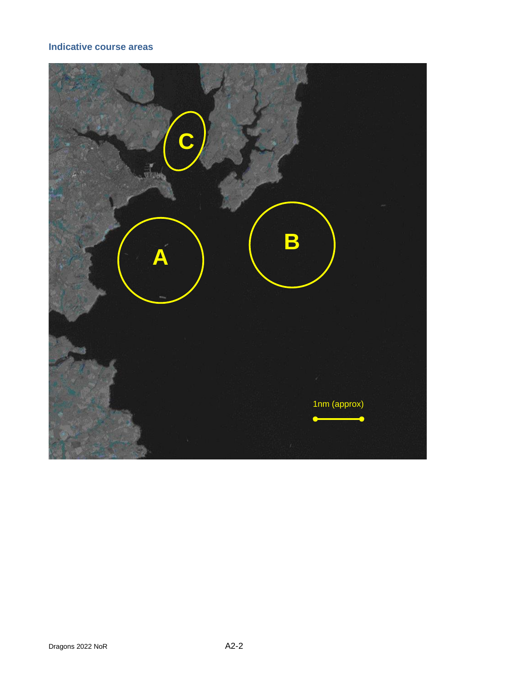## **Indicative course areas**